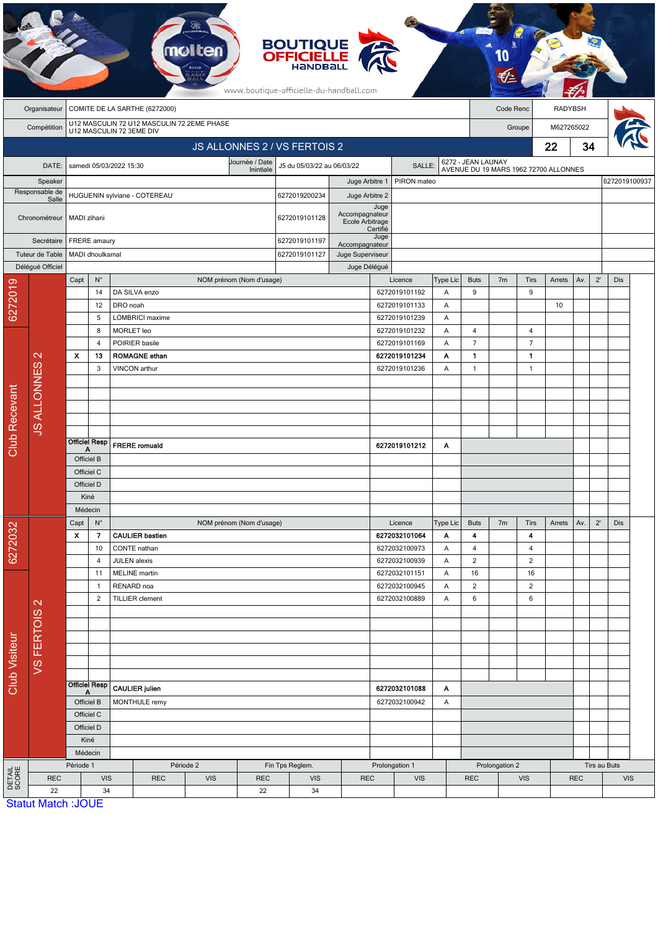| <b>BOUTIQUE<br/>OFFICIELLE</b><br>mol<br>www.boutique-officielle-du-handball.com |                           |                                         |                           |                          |                                                     |                                            |                                             |                                      |                                   |                  |                                |                    |                                  |                |                                       |                |     |              |               |  |
|----------------------------------------------------------------------------------|---------------------------|-----------------------------------------|---------------------------|--------------------------|-----------------------------------------------------|--------------------------------------------|---------------------------------------------|--------------------------------------|-----------------------------------|------------------|--------------------------------|--------------------|----------------------------------|----------------|---------------------------------------|----------------|-----|--------------|---------------|--|
|                                                                                  | Organisateur              | COMITE DE LA SARTHE (6272000)           |                           |                          |                                                     |                                            |                                             |                                      |                                   |                  |                                | Code Renc          |                                  |                |                                       | <b>RADYBSH</b> |     |              |               |  |
|                                                                                  | Compétition               |                                         |                           | U12 MASCULIN 72 3EME DIV |                                                     | U12 MASCULIN 72 U12 MASCULIN 72 2EME PHASE |                                             |                                      |                                   |                  |                                |                    |                                  |                | Groupe                                | M627265022     |     |              |               |  |
|                                                                                  |                           |                                         |                           |                          |                                                     |                                            |                                             | JS ALLONNES 2 / VS FERTOIS 2         |                                   |                  |                                |                    |                                  |                |                                       | 22             | 34  |              |               |  |
|                                                                                  | DATE:                     |                                         |                           | samedi 05/03/2022 15:30  |                                                     |                                            | Journée / Date                              | J5 du 05/03/22 au 06/03/22<br>SALLE: |                                   |                  |                                | 6272 - JEAN LAUNAY |                                  |                |                                       |                |     |              |               |  |
|                                                                                  | Speaker                   |                                         |                           |                          |                                                     |                                            | Inintiale                                   |                                      | Juge Arbitre 1                    |                  | PIRON mateo                    |                    |                                  |                | AVENUE DU 19 MARS 1962 72700 ALLONNES |                |     |              | 6272019100937 |  |
| Responsable de<br>Salle                                                          |                           | HUGUENIN sylviane - COTEREAU            |                           |                          |                                                     |                                            |                                             | 6272019200234                        | Juge Arbitre 2                    |                  |                                |                    |                                  |                |                                       |                |     |              |               |  |
|                                                                                  | Chronométreur             | MADI zihani                             |                           |                          |                                                     |                                            |                                             | 6272019101128                        | Accompagnateur<br>Ecole Arbitrage | Juge<br>Certifié |                                |                    |                                  |                |                                       |                |     |              |               |  |
| Secrétaire                                                                       |                           | FRERE amaury                            |                           |                          |                                                     |                                            |                                             | 6272019101197                        | Accompagnateur                    | Juge             |                                |                    |                                  |                |                                       |                |     |              |               |  |
|                                                                                  | Tuteur de Table           |                                         | MADI dhoulkamal           |                          |                                                     |                                            |                                             |                                      | Juge Superviseur                  |                  |                                |                    |                                  |                |                                       |                |     |              |               |  |
|                                                                                  | Déléqué Officiel          | Capt                                    | $N^{\circ}$               |                          |                                                     | NOM prénom (Nom d'usage)                   |                                             |                                      | Juge Délégué                      |                  | Licence                        | Type Lic           | <b>Buts</b>                      | 7 <sub>m</sub> | <b>Tirs</b>                           | Arrets         | Av. | $2^{\prime}$ | Dis           |  |
|                                                                                  |                           |                                         | 14                        |                          | DA SILVA enzo                                       |                                            |                                             |                                      |                                   |                  | 6272019101192                  | Α                  | $9\,$                            |                | 9                                     |                |     |              |               |  |
| 6272019                                                                          |                           |                                         | 12                        | DRO noah                 |                                                     |                                            |                                             |                                      |                                   |                  | 6272019101133                  | Α                  |                                  |                |                                       | 10             |     |              |               |  |
|                                                                                  |                           |                                         | 5                         |                          | <b>LOMBRICI</b> maxime                              |                                            |                                             |                                      |                                   |                  | 6272019101239                  | A                  |                                  |                |                                       |                |     |              |               |  |
|                                                                                  |                           |                                         | 8                         | MORLET leo               |                                                     |                                            |                                             |                                      |                                   |                  | 6272019101232                  | Α                  | $\overline{4}$                   |                | 4                                     |                |     |              |               |  |
|                                                                                  | $\mathbf{\Omega}$         | $\mathbf{x}$                            | $\overline{4}$<br>13      |                          | POIRIER basile<br><b>ROMAGNE ethan</b>              |                                            |                                             |                                      |                                   |                  | 6272019101169<br>6272019101234 | Α<br>Α             | $\overline{7}$<br>$\mathbf{1}$   |                | $\overline{7}$<br>$\mathbf{1}$        |                |     |              |               |  |
|                                                                                  |                           |                                         | 3                         |                          | VINCON arthur                                       |                                            |                                             |                                      |                                   |                  | 6272019101236                  | Α                  | $\mathbf{1}$                     |                | $\mathbf{1}$                          |                |     |              |               |  |
|                                                                                  |                           |                                         |                           |                          |                                                     |                                            |                                             |                                      |                                   |                  |                                |                    |                                  |                |                                       |                |     |              |               |  |
|                                                                                  | <b>JS ALLONNES</b>        |                                         |                           |                          |                                                     |                                            |                                             |                                      |                                   |                  |                                |                    |                                  |                |                                       |                |     |              |               |  |
|                                                                                  |                           |                                         |                           |                          |                                                     |                                            |                                             |                                      |                                   |                  |                                |                    |                                  |                |                                       |                |     |              |               |  |
|                                                                                  |                           |                                         |                           |                          |                                                     |                                            |                                             |                                      |                                   |                  |                                |                    |                                  |                |                                       |                |     |              |               |  |
| <b>Club Recevant</b>                                                             |                           |                                         | <b>Officiel Resp</b><br>А |                          | <b>FRERE</b> romuald                                |                                            |                                             |                                      |                                   |                  | 6272019101212                  | Α                  |                                  |                |                                       |                |     |              |               |  |
|                                                                                  |                           |                                         | Officiel B                |                          |                                                     |                                            |                                             |                                      |                                   |                  |                                |                    |                                  |                |                                       |                |     |              |               |  |
|                                                                                  |                           |                                         | Officiel C                |                          |                                                     |                                            |                                             |                                      |                                   |                  |                                |                    |                                  |                |                                       |                |     |              |               |  |
|                                                                                  |                           | Officiel D<br>Kiné                      |                           |                          |                                                     |                                            |                                             |                                      |                                   |                  |                                |                    |                                  |                |                                       |                |     |              |               |  |
|                                                                                  |                           | Médecin                                 |                           |                          |                                                     |                                            |                                             |                                      |                                   |                  |                                |                    |                                  |                |                                       |                |     |              |               |  |
|                                                                                  |                           | $\mathsf{N}^\circ$<br>Capt              |                           |                          |                                                     | NOM prénom (Nom d'usage)                   |                                             |                                      |                                   |                  | Licence                        | Type Lic           | <b>Buts</b>                      | 7 <sub>m</sub> | Tirs                                  | Arrets         | Av. | $2^{\prime}$ | Dis           |  |
|                                                                                  |                           | $\boldsymbol{\mathsf{x}}$               | $\overline{\mathbf{z}}$   |                          | <b>CAULIER bastien</b>                              |                                            |                                             |                                      |                                   |                  | 6272032101064                  | Α                  | $\blacktriangleleft$             |                | 4                                     |                |     |              |               |  |
| 6272032                                                                          |                           |                                         | 10<br>$\overline{4}$      | <b>JULEN</b> alexis      | CONTE nathan                                        |                                            |                                             |                                      |                                   |                  | 6272032100973<br>6272032100939 | Α<br>Α             | $\overline{4}$<br>$\overline{2}$ |                | $\overline{4}$<br>$\overline{2}$      |                |     |              |               |  |
|                                                                                  |                           |                                         | 11                        |                          | <b>MELINE</b> martin                                |                                            |                                             |                                      |                                   |                  | 6272032101151                  | Α                  | 16                               |                | 16                                    |                |     |              |               |  |
|                                                                                  | $\mathbf{\Omega}$         |                                         | $\mathbf{1}$              | RENARD noa               |                                                     |                                            |                                             |                                      |                                   |                  | 6272032100945                  | Α                  | $\overline{2}$                   |                | $\overline{2}$                        |                |     |              |               |  |
|                                                                                  |                           |                                         | $\overline{2}$            |                          | <b>TILLIER</b> clement                              |                                            |                                             |                                      |                                   |                  | 6272032100889                  | Α                  | 6                                |                | 6                                     |                |     |              |               |  |
|                                                                                  |                           |                                         |                           |                          |                                                     |                                            |                                             |                                      |                                   |                  |                                |                    |                                  |                |                                       |                |     |              |               |  |
|                                                                                  |                           |                                         |                           |                          |                                                     |                                            |                                             |                                      |                                   |                  |                                |                    |                                  |                |                                       |                |     |              |               |  |
| Club Visiteur                                                                    | <b>VSFERTOIS</b>          |                                         |                           |                          |                                                     |                                            |                                             |                                      |                                   |                  |                                |                    |                                  |                |                                       |                |     |              |               |  |
|                                                                                  |                           |                                         |                           |                          |                                                     |                                            |                                             |                                      |                                   |                  |                                |                    |                                  |                |                                       |                |     |              |               |  |
|                                                                                  |                           |                                         |                           |                          |                                                     |                                            |                                             |                                      |                                   |                  |                                |                    |                                  |                |                                       |                |     |              |               |  |
|                                                                                  |                           | <b>Officiel Resp</b><br>A<br>Officiel B |                           | <b>CAULIER julien</b>    |                                                     |                                            |                                             | 6272032101088<br>6272032100942       |                                   | A                |                                |                    |                                  |                |                                       |                |     |              |               |  |
|                                                                                  |                           |                                         | Officiel C                | MONTHULE remy            |                                                     |                                            |                                             |                                      |                                   |                  | Α                              |                    |                                  |                |                                       |                |     |              |               |  |
|                                                                                  |                           |                                         | Officiel D                |                          |                                                     |                                            |                                             |                                      |                                   |                  |                                |                    |                                  |                |                                       |                |     |              |               |  |
|                                                                                  |                           |                                         | Kiné                      |                          |                                                     |                                            |                                             |                                      |                                   |                  |                                |                    |                                  |                |                                       |                |     |              |               |  |
|                                                                                  |                           | Médecin                                 |                           |                          |                                                     |                                            |                                             |                                      |                                   |                  |                                |                    | Prolongation 2                   |                |                                       |                |     |              | Tirs au Buts  |  |
| DETAIL<br>SCORE                                                                  | <b>REC</b>                |                                         | Période 1<br><b>VIS</b>   |                          | Période 2<br><b>REC</b><br><b>VIS</b><br><b>REC</b> |                                            | Fin Tps Reglem.<br><b>REC</b><br><b>VIS</b> |                                      | Prolongation 1<br><b>VIS</b>      |                  |                                | <b>REC</b>         | <b>VIS</b>                       |                |                                       | <b>REC</b>     |     | <b>VIS</b>   |               |  |
|                                                                                  | 22                        | 34                                      |                           |                          |                                                     |                                            | 22                                          | 34                                   |                                   |                  |                                |                    |                                  |                |                                       |                |     |              |               |  |
|                                                                                  | <b>Statut Match: JOUE</b> |                                         |                           |                          |                                                     |                                            |                                             |                                      |                                   |                  |                                |                    |                                  |                |                                       |                |     |              |               |  |